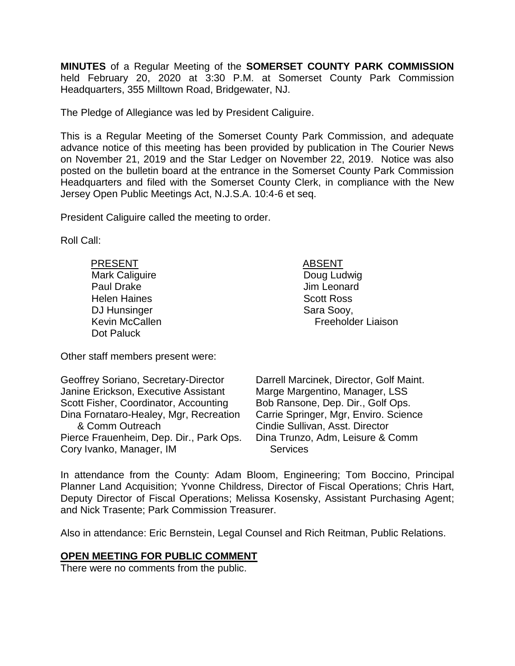**MINUTES** of a Regular Meeting of the **SOMERSET COUNTY PARK COMMISSION** held February 20, 2020 at 3:30 P.M. at Somerset County Park Commission Headquarters, 355 Milltown Road, Bridgewater, NJ.

The Pledge of Allegiance was led by President Caliguire.

This is a Regular Meeting of the Somerset County Park Commission, and adequate advance notice of this meeting has been provided by publication in The Courier News on November 21, 2019 and the Star Ledger on November 22, 2019. Notice was also posted on the bulletin board at the entrance in the Somerset County Park Commission Headquarters and filed with the Somerset County Clerk, in compliance with the New Jersey Open Public Meetings Act, N.J.S.A. 10:4-6 et seq.

President Caliguire called the meeting to order.

Roll Call:

| <b>PRESENT</b>        | <b>ABSENT</b>             |
|-----------------------|---------------------------|
| <b>Mark Caliguire</b> | Doug Ludwig               |
| Paul Drake            | Jim Leonard               |
| <b>Helen Haines</b>   | <b>Scott Ross</b>         |
| DJ Hunsinger          | Sara Sooy,                |
| <b>Kevin McCallen</b> | <b>Freeholder Liaison</b> |
| Dot Paluck            |                           |

Other staff members present were:

| Geoffrey Soriano, Secretary-Director    | Darrell Marcinek, Director, Golf Maint. |
|-----------------------------------------|-----------------------------------------|
| Janine Erickson, Executive Assistant    | Marge Margentino, Manager, LSS          |
| Scott Fisher, Coordinator, Accounting   | Bob Ransone, Dep. Dir., Golf Ops.       |
| Dina Fornataro-Healey, Mgr, Recreation  | Carrie Springer, Mgr, Enviro. Science   |
| & Comm Outreach                         | Cindie Sullivan, Asst. Director         |
| Pierce Frauenheim, Dep. Dir., Park Ops. | Dina Trunzo, Adm, Leisure & Comm        |
| Cory Ivanko, Manager, IM                | <b>Services</b>                         |

In attendance from the County: Adam Bloom, Engineering; Tom Boccino, Principal Planner Land Acquisition; Yvonne Childress, Director of Fiscal Operations; Chris Hart, Deputy Director of Fiscal Operations; Melissa Kosensky, Assistant Purchasing Agent; and Nick Trasente; Park Commission Treasurer.

Also in attendance: Eric Bernstein, Legal Counsel and Rich Reitman, Public Relations.

### **OPEN MEETING FOR PUBLIC COMMENT**

There were no comments from the public.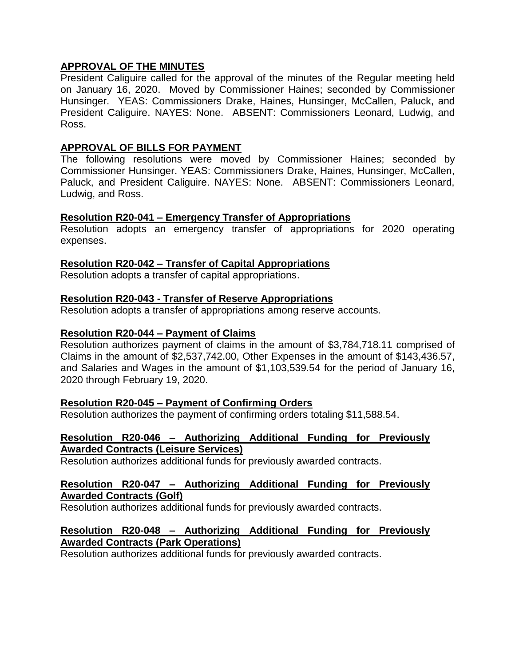# **APPROVAL OF THE MINUTES**

President Caliguire called for the approval of the minutes of the Regular meeting held on January 16, 2020. Moved by Commissioner Haines; seconded by Commissioner Hunsinger. YEAS: Commissioners Drake, Haines, Hunsinger, McCallen, Paluck, and President Caliguire. NAYES: None. ABSENT: Commissioners Leonard, Ludwig, and Ross.

## **APPROVAL OF BILLS FOR PAYMENT**

The following resolutions were moved by Commissioner Haines; seconded by Commissioner Hunsinger. YEAS: Commissioners Drake, Haines, Hunsinger, McCallen, Paluck, and President Caliguire. NAYES: None. ABSENT: Commissioners Leonard, Ludwig, and Ross.

# **Resolution R20-041 – Emergency Transfer of Appropriations**

Resolution adopts an emergency transfer of appropriations for 2020 operating expenses.

# **Resolution R20-042 – Transfer of Capital Appropriations**

Resolution adopts a transfer of capital appropriations.

# **Resolution R20-043 - Transfer of Reserve Appropriations**

Resolution adopts a transfer of appropriations among reserve accounts.

### **Resolution R20-044 – Payment of Claims**

Resolution authorizes payment of claims in the amount of \$3,784,718.11 comprised of Claims in the amount of \$2,537,742.00, Other Expenses in the amount of \$143,436.57, and Salaries and Wages in the amount of \$1,103,539.54 for the period of January 16, 2020 through February 19, 2020.

### **Resolution R20-045 – Payment of Confirming Orders**

Resolution authorizes the payment of confirming orders totaling \$11,588.54.

#### **Resolution R20-046 – Authorizing Additional Funding for Previously Awarded Contracts (Leisure Services)**

Resolution authorizes additional funds for previously awarded contracts.

### **Resolution R20-047 – Authorizing Additional Funding for Previously Awarded Contracts (Golf)**

Resolution authorizes additional funds for previously awarded contracts.

### **Resolution R20-048 – Authorizing Additional Funding for Previously Awarded Contracts (Park Operations)**

Resolution authorizes additional funds for previously awarded contracts.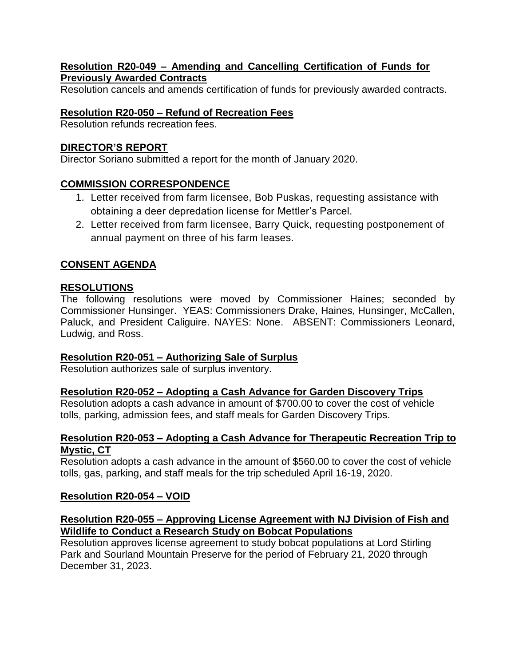# **Resolution R20-049 – Amending and Cancelling Certification of Funds for Previously Awarded Contracts**

Resolution cancels and amends certification of funds for previously awarded contracts.

# **Resolution R20-050 – Refund of Recreation Fees**

Resolution refunds recreation fees.

# **DIRECTOR'S REPORT**

Director Soriano submitted a report for the month of January 2020.

# **COMMISSION CORRESPONDENCE**

- 1. Letter received from farm licensee, Bob Puskas, requesting assistance with obtaining a deer depredation license for Mettler's Parcel.
- 2. Letter received from farm licensee, Barry Quick, requesting postponement of annual payment on three of his farm leases.

# **CONSENT AGENDA**

# **RESOLUTIONS**

The following resolutions were moved by Commissioner Haines; seconded by Commissioner Hunsinger. YEAS: Commissioners Drake, Haines, Hunsinger, McCallen, Paluck, and President Caliguire. NAYES: None. ABSENT: Commissioners Leonard, Ludwig, and Ross.

# **Resolution R20-051 – Authorizing Sale of Surplus**

Resolution authorizes sale of surplus inventory.

# **Resolution R20-052 – Adopting a Cash Advance for Garden Discovery Trips**

Resolution adopts a cash advance in amount of \$700.00 to cover the cost of vehicle tolls, parking, admission fees, and staff meals for Garden Discovery Trips.

# **Resolution R20-053 – Adopting a Cash Advance for Therapeutic Recreation Trip to Mystic, CT**

Resolution adopts a cash advance in the amount of \$560.00 to cover the cost of vehicle tolls, gas, parking, and staff meals for the trip scheduled April 16-19, 2020.

# **Resolution R20-054 – VOID**

# **Resolution R20-055 – Approving License Agreement with NJ Division of Fish and Wildlife to Conduct a Research Study on Bobcat Populations**

Resolution approves license agreement to study bobcat populations at Lord Stirling Park and Sourland Mountain Preserve for the period of February 21, 2020 through December 31, 2023.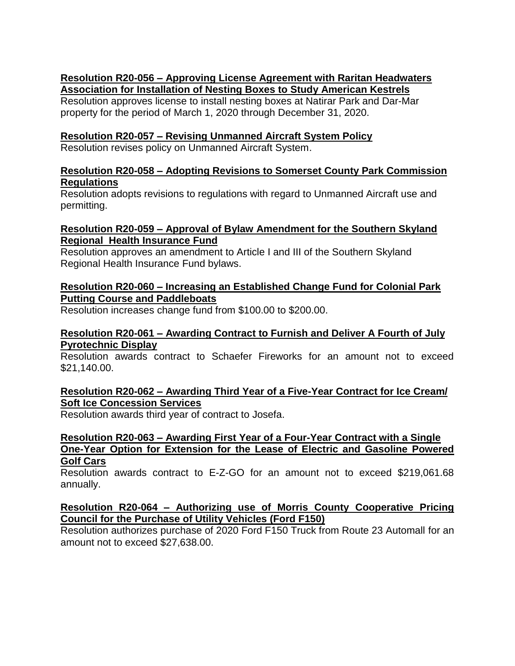# **Resolution R20-056 – Approving License Agreement with Raritan Headwaters Association for Installation of Nesting Boxes to Study American Kestrels**

Resolution approves license to install nesting boxes at Natirar Park and Dar-Mar property for the period of March 1, 2020 through December 31, 2020.

# **Resolution R20-057 – Revising Unmanned Aircraft System Policy**

Resolution revises policy on Unmanned Aircraft System.

## **Resolution R20-058 – Adopting Revisions to Somerset County Park Commission Regulations**

Resolution adopts revisions to regulations with regard to Unmanned Aircraft use and permitting.

#### **Resolution R20-059 – Approval of Bylaw Amendment for the Southern Skyland Regional Health Insurance Fund**

Resolution approves an amendment to Article I and III of the Southern Skyland Regional Health Insurance Fund bylaws.

# **Resolution R20-060 – Increasing an Established Change Fund for Colonial Park Putting Course and Paddleboats**

Resolution increases change fund from \$100.00 to \$200.00.

# **Resolution R20-061 – Awarding Contract to Furnish and Deliver A Fourth of July Pyrotechnic Display**

Resolution awards contract to Schaefer Fireworks for an amount not to exceed \$21,140.00.

# **Resolution R20-062 – Awarding Third Year of a Five-Year Contract for Ice Cream/ Soft Ice Concession Services**

Resolution awards third year of contract to Josefa.

#### **Resolution R20-063 – Awarding First Year of a Four-Year Contract with a Single One-Year Option for Extension for the Lease of Electric and Gasoline Powered Golf Cars**

Resolution awards contract to E-Z-GO for an amount not to exceed \$219,061.68 annually.

# **Resolution R20-064 – Authorizing use of Morris County Cooperative Pricing Council for the Purchase of Utility Vehicles (Ford F150)**

Resolution authorizes purchase of 2020 Ford F150 Truck from Route 23 Automall for an amount not to exceed \$27,638.00.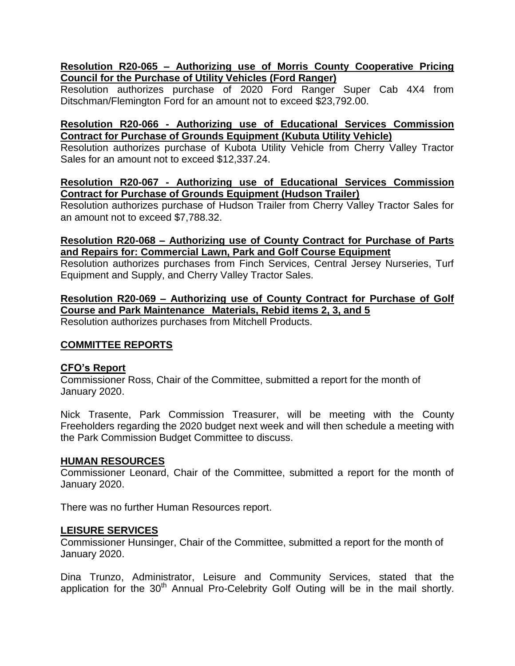# **Resolution R20-065 – Authorizing use of Morris County Cooperative Pricing Council for the Purchase of Utility Vehicles (Ford Ranger)**

Resolution authorizes purchase of 2020 Ford Ranger Super Cab 4X4 from Ditschman/Flemington Ford for an amount not to exceed \$23,792.00.

## **Resolution R20-066 - Authorizing use of Educational Services Commission Contract for Purchase of Grounds Equipment (Kubuta Utility Vehicle)**

Resolution authorizes purchase of Kubota Utility Vehicle from Cherry Valley Tractor Sales for an amount not to exceed \$12,337.24.

#### **Resolution R20-067 - Authorizing use of Educational Services Commission Contract for Purchase of Grounds Equipment (Hudson Trailer)**

Resolution authorizes purchase of Hudson Trailer from Cherry Valley Tractor Sales for an amount not to exceed \$7,788.32.

#### **Resolution R20-068 – Authorizing use of County Contract for Purchase of Parts and Repairs for: Commercial Lawn, Park and Golf Course Equipment**

Resolution authorizes purchases from Finch Services, Central Jersey Nurseries, Turf Equipment and Supply, and Cherry Valley Tractor Sales.

## **Resolution R20-069 – Authorizing use of County Contract for Purchase of Golf Course and Park Maintenance Materials, Rebid items 2, 3, and 5**

Resolution authorizes purchases from Mitchell Products.

### **COMMITTEE REPORTS**

### **CFO's Report**

Commissioner Ross, Chair of the Committee, submitted a report for the month of January 2020.

Nick Trasente, Park Commission Treasurer, will be meeting with the County Freeholders regarding the 2020 budget next week and will then schedule a meeting with the Park Commission Budget Committee to discuss.

### **HUMAN RESOURCES**

Commissioner Leonard, Chair of the Committee, submitted a report for the month of January 2020.

There was no further Human Resources report.

### **LEISURE SERVICES**

Commissioner Hunsinger, Chair of the Committee, submitted a report for the month of January 2020.

Dina Trunzo, Administrator, Leisure and Community Services, stated that the application for the  $30<sup>th</sup>$  Annual Pro-Celebrity Golf Outing will be in the mail shortly.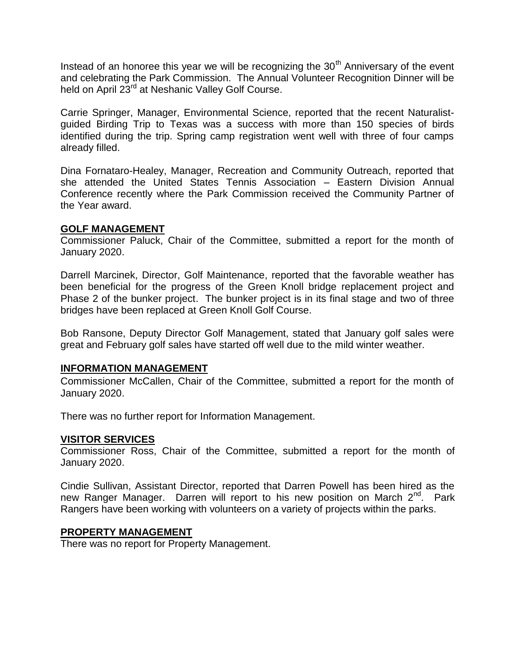Instead of an honoree this year we will be recognizing the  $30<sup>th</sup>$  Anniversary of the event and celebrating the Park Commission. The Annual Volunteer Recognition Dinner will be held on April 23<sup>rd</sup> at Neshanic Valley Golf Course.

Carrie Springer, Manager, Environmental Science, reported that the recent Naturalistguided Birding Trip to Texas was a success with more than 150 species of birds identified during the trip. Spring camp registration went well with three of four camps already filled.

Dina Fornataro-Healey, Manager, Recreation and Community Outreach, reported that she attended the United States Tennis Association – Eastern Division Annual Conference recently where the Park Commission received the Community Partner of the Year award.

### **GOLF MANAGEMENT**

Commissioner Paluck, Chair of the Committee, submitted a report for the month of January 2020.

Darrell Marcinek, Director, Golf Maintenance, reported that the favorable weather has been beneficial for the progress of the Green Knoll bridge replacement project and Phase 2 of the bunker project. The bunker project is in its final stage and two of three bridges have been replaced at Green Knoll Golf Course.

Bob Ransone, Deputy Director Golf Management, stated that January golf sales were great and February golf sales have started off well due to the mild winter weather.

### **INFORMATION MANAGEMENT**

Commissioner McCallen, Chair of the Committee, submitted a report for the month of January 2020.

There was no further report for Information Management.

### **VISITOR SERVICES**

Commissioner Ross, Chair of the Committee, submitted a report for the month of January 2020.

Cindie Sullivan, Assistant Director, reported that Darren Powell has been hired as the new Ranger Manager. Darren will report to his new position on March 2<sup>nd</sup>. Park Rangers have been working with volunteers on a variety of projects within the parks.

#### **PROPERTY MANAGEMENT**

There was no report for Property Management.